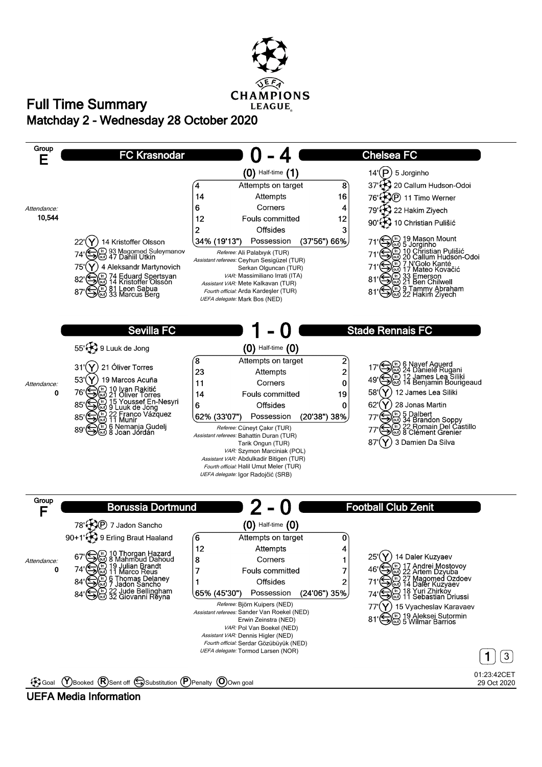

## **Matchday 2 - Wednesday 28 October 2020 Full Time Summary**



## **UEFA Media Information**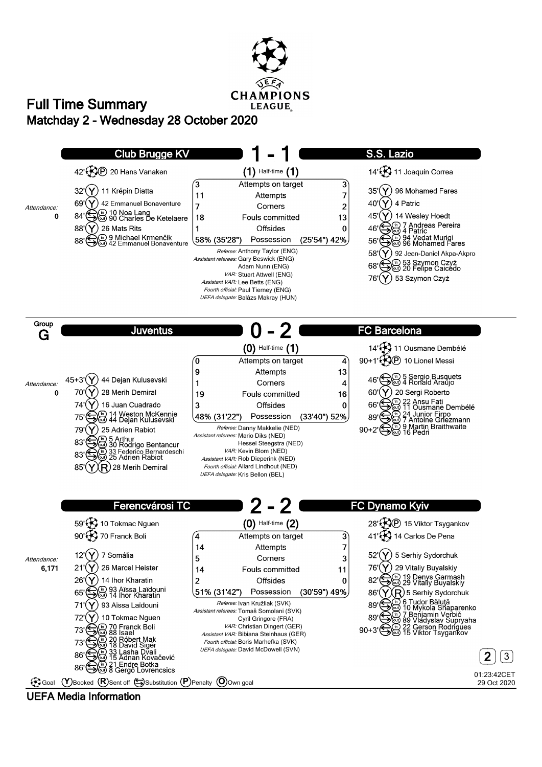

## **Matchday 2 - Wednesday 28 October 2020 Full Time Summary**